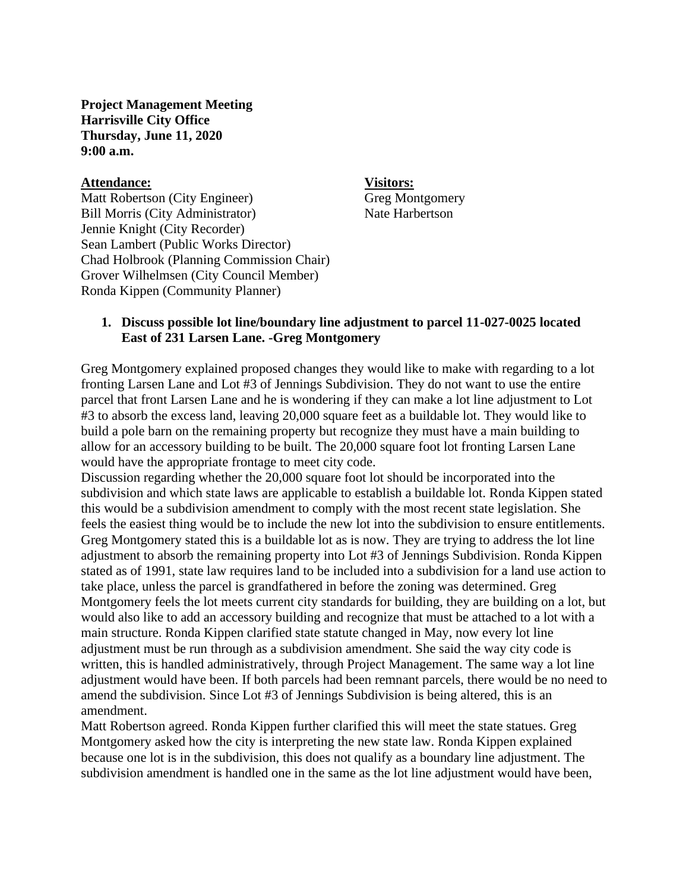**Project Management Meeting Harrisville City Office Thursday, June 11, 2020 9:00 a.m.**

## **Attendance: Visitors:**

Matt Robertson (City Engineer) Greg Montgomery Bill Morris (City Administrator) Nate Harbertson Jennie Knight (City Recorder) Sean Lambert (Public Works Director) Chad Holbrook (Planning Commission Chair) Grover Wilhelmsen (City Council Member) Ronda Kippen (Community Planner)

## **1. Discuss possible lot line/boundary line adjustment to parcel 11-027-0025 located East of 231 Larsen Lane. -Greg Montgomery**

Greg Montgomery explained proposed changes they would like to make with regarding to a lot fronting Larsen Lane and Lot #3 of Jennings Subdivision. They do not want to use the entire parcel that front Larsen Lane and he is wondering if they can make a lot line adjustment to Lot #3 to absorb the excess land, leaving 20,000 square feet as a buildable lot. They would like to build a pole barn on the remaining property but recognize they must have a main building to allow for an accessory building to be built. The 20,000 square foot lot fronting Larsen Lane would have the appropriate frontage to meet city code.

Discussion regarding whether the 20,000 square foot lot should be incorporated into the subdivision and which state laws are applicable to establish a buildable lot. Ronda Kippen stated this would be a subdivision amendment to comply with the most recent state legislation. She feels the easiest thing would be to include the new lot into the subdivision to ensure entitlements. Greg Montgomery stated this is a buildable lot as is now. They are trying to address the lot line adjustment to absorb the remaining property into Lot #3 of Jennings Subdivision. Ronda Kippen stated as of 1991, state law requires land to be included into a subdivision for a land use action to take place, unless the parcel is grandfathered in before the zoning was determined. Greg Montgomery feels the lot meets current city standards for building, they are building on a lot, but would also like to add an accessory building and recognize that must be attached to a lot with a main structure. Ronda Kippen clarified state statute changed in May, now every lot line adjustment must be run through as a subdivision amendment. She said the way city code is written, this is handled administratively, through Project Management. The same way a lot line adjustment would have been. If both parcels had been remnant parcels, there would be no need to amend the subdivision. Since Lot #3 of Jennings Subdivision is being altered, this is an amendment.

Matt Robertson agreed. Ronda Kippen further clarified this will meet the state statues. Greg Montgomery asked how the city is interpreting the new state law. Ronda Kippen explained because one lot is in the subdivision, this does not qualify as a boundary line adjustment. The subdivision amendment is handled one in the same as the lot line adjustment would have been,